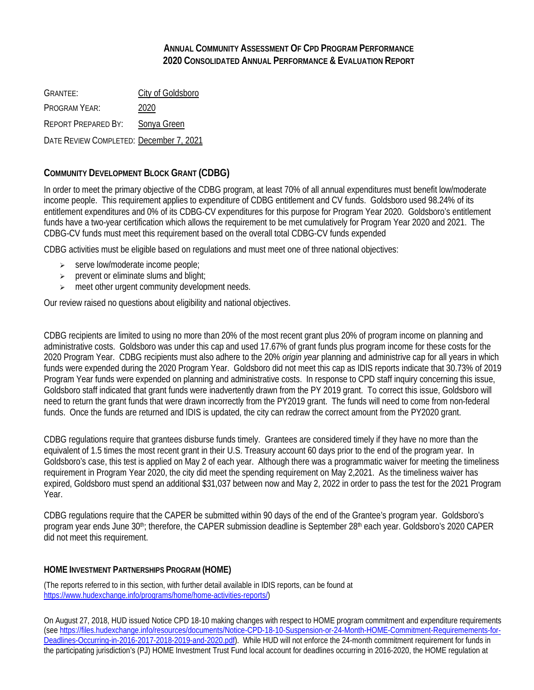## **ANNUAL COMMUNITY ASSESSMENT OF CPD PROGRAM PERFORMANCE 2020 CONSOLIDATED ANNUAL PERFORMANCE & EVALUATION REPORT**

GRANTEE: City of Goldsboro PROGRAM YEAR: 2020 REPORT PREPARED BY: Sonya Green DATE REVIEW COMPLETED: December 7, 2021

## **COMMUNITY DEVELOPMENT BLOCK GRANT (CDBG)**

In order to meet the primary objective of the CDBG program, at least 70% of all annual expenditures must benefit low/moderate income people. This requirement applies to expenditure of CDBG entitlement and CV funds. Goldsboro used 98.24% of its entitlement expenditures and 0% of its CDBG-CV expenditures for this purpose for Program Year 2020. Goldsboro's entitlement funds have a two-year certification which allows the requirement to be met cumulatively for Program Year 2020 and 2021. The CDBG-CV funds must meet this requirement based on the overall total CDBG-CV funds expended

CDBG activities must be eligible based on regulations and must meet one of three national objectives:

- $\triangleright$  serve low/moderate income people;
- $\triangleright$  prevent or eliminate slums and blight;
- $\triangleright$  meet other urgent community development needs.

Our review raised no questions about eligibility and national objectives.

CDBG recipients are limited to using no more than 20% of the most recent grant plus 20% of program income on planning and administrative costs. Goldsboro was under this cap and used 17.67% of grant funds plus program income for these costs for the 2020 Program Year. CDBG recipients must also adhere to the 20% *origin year* planning and administrive cap for all years in which funds were expended during the 2020 Program Year. Goldsboro did not meet this cap as IDIS reports indicate that 30.73% of 2019 Program Year funds were expended on planning and administrative costs. In response to CPD staff inquiry concerning this issue, Goldsboro staff indicated that grant funds were inadvertently drawn from the PY 2019 grant. To correct this issue, Goldsboro will need to return the grant funds that were drawn incorrectly from the PY2019 grant. The funds will need to come from non-federal funds. Once the funds are returned and IDIS is updated, the city can redraw the correct amount from the PY2020 grant.

CDBG regulations require that grantees disburse funds timely. Grantees are considered timely if they have no more than the equivalent of 1.5 times the most recent grant in their U.S. Treasury account 60 days prior to the end of the program year. In Goldsboro's case, this test is applied on May 2 of each year. Although there was a programmatic waiver for meeting the timeliness requirement in Program Year 2020, the city did meet the spending requirement on May 2,2021. As the timeliness waiver has expired, Goldsboro must spend an additional \$31,037 between now and May 2, 2022 in order to pass the test for the 2021 Program Year.

CDBG regulations require that the CAPER be submitted within 90 days of the end of the Grantee's program year. Goldsboro's program year ends June 30<sup>th</sup>; therefore, the CAPER submission deadline is September 28<sup>th</sup> each year. Goldsboro's 2020 CAPER did not meet this requirement.

## **HOME INVESTMENT PARTNERSHIPS PROGRAM (HOME)**

(The reports referred to in this section, with further detail available in IDIS reports, can be found at [https://www.hudexchange.info/programs/home/home-activities-reports/\)](https://www.hudexchange.info/programs/home/home-activities-reports/)

On August 27, 2018, HUD issued Notice CPD 18-10 making changes with respect to HOME program commitment and expenditure requirements (se[e https://files.hudexchange.info/resources/documents/Notice-CPD-18-10-Suspension-or-24-Month-HOME-Commitment-Requiremements-for-](https://files.hudexchange.info/resources/documents/Notice-CPD-18-10-Suspension-or-24-Month-HOME-Commitment-Requiremements-for-Deadlines-Occurring-in-2016-2017-2018-2019-and-2020.pdf)[Deadlines-Occurring-in-2016-2017-2018-2019-and-2020.pdf\)](https://files.hudexchange.info/resources/documents/Notice-CPD-18-10-Suspension-or-24-Month-HOME-Commitment-Requiremements-for-Deadlines-Occurring-in-2016-2017-2018-2019-and-2020.pdf). While HUD will not enforce the 24-month commitment requirement for funds in the participating jurisdiction's (PJ) HOME Investment Trust Fund local account for deadlines occurring in 2016-2020, the HOME regulation at